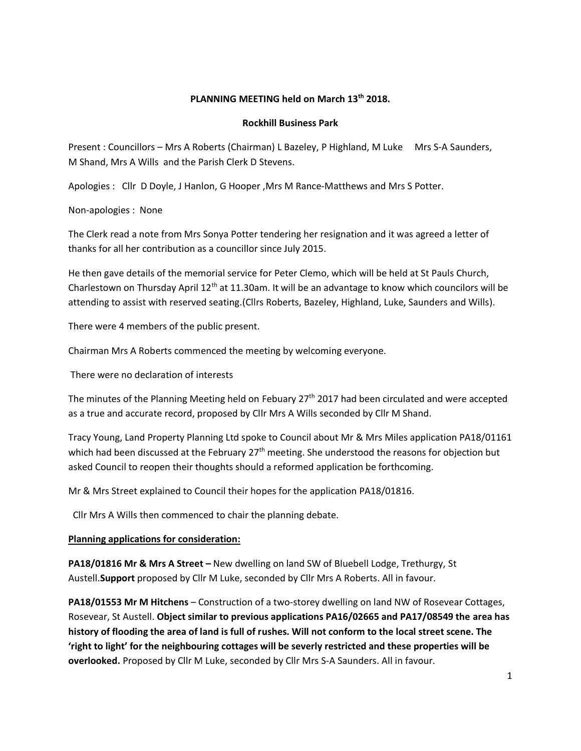# **PLANNING MEETING held on March 13th 2018.**

### **Rockhill Business Park**

Present : Councillors – Mrs A Roberts (Chairman) L Bazeley, P Highland, M Luke Mrs S-A Saunders, M Shand, Mrs A Wills and the Parish Clerk D Stevens.

Apologies : Cllr D Doyle, J Hanlon, G Hooper ,Mrs M Rance-Matthews and Mrs S Potter.

Non-apologies : None

The Clerk read a note from Mrs Sonya Potter tendering her resignation and it was agreed a letter of thanks for all her contribution as a councillor since July 2015.

He then gave details of the memorial service for Peter Clemo, which will be held at St Pauls Church, Charlestown on Thursday April  $12<sup>th</sup>$  at 11.30am. It will be an advantage to know which councilors will be attending to assist with reserved seating.(Cllrs Roberts, Bazeley, Highland, Luke, Saunders and Wills).

There were 4 members of the public present.

Chairman Mrs A Roberts commenced the meeting by welcoming everyone.

There were no declaration of interests

The minutes of the Planning Meeting held on Febuary 27<sup>th</sup> 2017 had been circulated and were accepted as a true and accurate record, proposed by Cllr Mrs A Wills seconded by Cllr M Shand.

Tracy Young, Land Property Planning Ltd spoke to Council about Mr & Mrs Miles application PA18/01161 which had been discussed at the February  $27<sup>th</sup>$  meeting. She understood the reasons for objection but asked Council to reopen their thoughts should a reformed application be forthcoming.

Mr & Mrs Street explained to Council their hopes for the application PA18/01816.

Cllr Mrs A Wills then commenced to chair the planning debate.

### **Planning applications for consideration:**

**PA18/01816 Mr & Mrs A Street - New dwelling on land SW of Bluebell Lodge, Trethurgy, St** Austell.**Support** proposed by Cllr M Luke, seconded by Cllr Mrs A Roberts. All in favour.

**PA18/01553 Mr M Hitchens** – Construction of a two-storey dwelling on land NW of Rosevear Cottages, Rosevear, St Austell. **Object similar to previous applications PA16/02665 and PA17/08549 the area has history of flooding the area of land is full of rushes. Will not conform to the local street scene. The 'right to light' for the neighbouring cottages will be severly restricted and these properties will be overlooked.** Proposed by Cllr M Luke, seconded by Cllr Mrs S-A Saunders. All in favour.